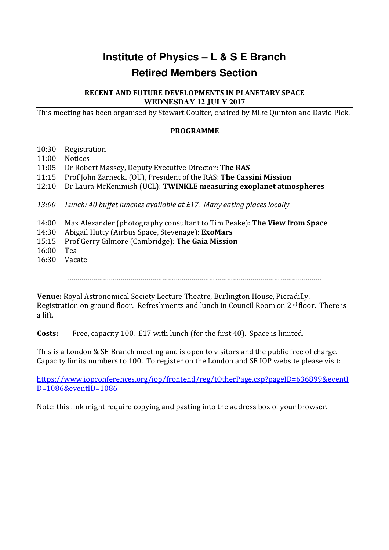# **Institute of Physics – L & S E Branch Retired Members Section**

#### RECENT AND FUTURE DEVELOPMENTS IN PLANETARY SPACE **WEDNESDAY 12 JULY 2017**

This meeting has been organised by Stewart Coulter, chaired by Mike Quinton and David Pick.

#### PROGRAMME

- 10:30 Registration
- 11:00 Notices
- 11:05 Dr Robert Massey, Deputy Executive Director: The RAS
- 11:15 Prof John Zarnecki (OU), President of the RAS: The Cassini Mission
- 12:10 Dr Laura McKemmish (UCL): TWINKLE measuring exoplanet atmospheres
- 13:00 Lunch: 40 buffet lunches available at £17. Many eating places locally
- 14:00 Max Alexander (photography consultant to Tim Peake): The View from Space
- 14:30 Abigail Hutty (Airbus Space, Stevenage): ExoMars
- 15:15 Prof Gerry Gilmore (Cambridge): The Gaia Mission
- 16:00 Tea
- 16:30 Vacate

…………………………………………………………………………………………………………………

Venue: Royal Astronomical Society Lecture Theatre, Burlington House, Piccadilly. Registration on ground floor. Refreshments and lunch in Council Room on 2nd floor. There is a lift.

Costs: Free, capacity 100. £17 with lunch (for the first 40). Space is limited.

This is a London & SE Branch meeting and is open to visitors and the public free of charge. Capacity limits numbers to 100. To register on the London and SE IOP website please visit:

https://www.iopconferences.org/iop/frontend/reg/tOtherPage.csp?pageID=636899&eventI D=1086&eventID=1086

Note: this link might require copying and pasting into the address box of your browser.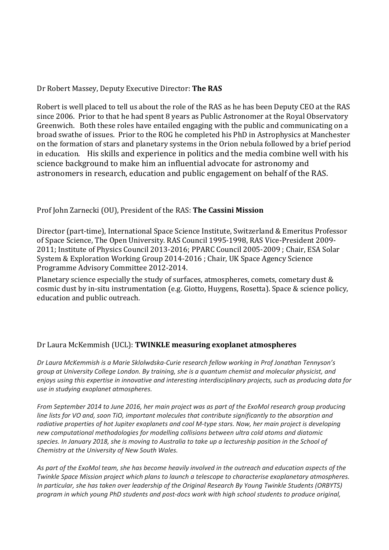## Dr Robert Massey, Deputy Executive Director: The RAS

Robert is well placed to tell us about the role of the RAS as he has been Deputy CEO at the RAS since 2006. Prior to that he had spent 8 years as Public Astronomer at the Royal Observatory Greenwich. Both these roles have entailed engaging with the public and communicating on a broad swathe of issues. Prior to the ROG he completed his PhD in Astrophysics at Manchester on the formation of stars and planetary systems in the Orion nebula followed by a brief period in education. His skills and experience in politics and the media combine well with his science background to make him an influential advocate for astronomy and astronomers in research, education and public engagement on behalf of the RAS.

## Prof John Zarnecki (OU), President of the RAS: The Cassini Mission

Director (part-time), International Space Science Institute, Switzerland & Emeritus Professor of Space Science, The Open University. RAS Council 1995-1998, RAS Vice-President 2009- 2011; Institute of Physics Council 2013-2016; PPARC Council 2005-2009 ; Chair, ESA Solar System & Exploration Working Group 2014-2016 ; Chair, UK Space Agency Science Programme Advisory Committee 2012-2014.

Planetary science especially the study of surfaces, atmospheres, comets, cometary dust & cosmic dust by in-situ instrumentation (e.g. Giotto, Huygens, Rosetta). Space & science policy, education and public outreach.

## Dr Laura McKemmish (UCL): TWINKLE measuring exoplanet atmospheres

Dr Laura McKemmish is a Marie Sklolwdska-Curie research fellow working in Prof Jonathan Tennyson's group at University College London. By training, she is a quantum chemist and molecular physicist, and enjoys using this expertise in innovative and interesting interdisciplinary projects, such as producing data for use in studying exoplanet atmospheres.

From September 2014 to June 2016, her main project was as part of the ExoMol research group producing line lists for VO and, soon TiO, important molecules that contribute significantly to the absorption and radiative properties of hot Jupiter exoplanets and cool M-type stars. Now, her main project is developing new computational methodologies for modelling collisions between ultra cold atoms and diatomic species. In January 2018, she is moving to Australia to take up a lectureship position in the School of Chemistry at the University of New South Wales.

As part of the ExoMol team, she has become heavily involved in the outreach and education aspects of the Twinkle Space Mission project which plans to launch a telescope to characterise exoplanetary atmospheres. In particular, she has taken over leadership of the Original Research By Young Twinkle Students (ORBYTS) program in which young PhD students and post-docs work with high school students to produce original,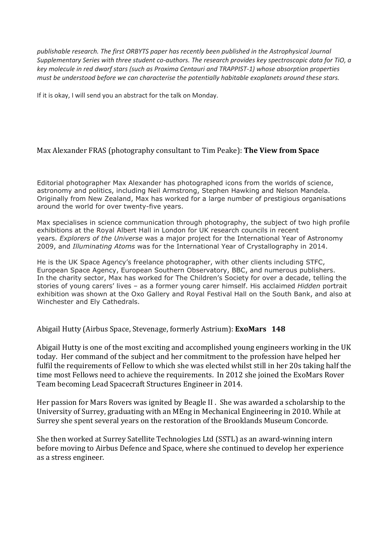publishable research. The first ORBYTS paper has recently been published in the Astrophysical Journal Supplementary Series with three student co-authors. The research provides key spectroscopic data for TiO, a key molecule in red dwarf stars (such as Proxima Centauri and TRAPPIST-1) whose absorption properties must be understood before we can characterise the potentially habitable exoplanets around these stars.

If it is okay, I will send you an abstract for the talk on Monday.

## Max Alexander FRAS (photography consultant to Tim Peake): The View from Space

Editorial photographer Max Alexander has photographed icons from the worlds of science, astronomy and politics, including Neil Armstrong, Stephen Hawking and Nelson Mandela. Originally from New Zealand, Max has worked for a large number of prestigious organisations around the world for over twenty-five years.

Max specialises in science communication through photography, the subject of two high profile exhibitions at the Royal Albert Hall in London for UK research councils in recent years. Explorers of the Universe was a major project for the International Year of Astronomy 2009, and Illuminating Atoms was for the International Year of Crystallography in 2014.

He is the UK Space Agency's freelance photographer, with other clients including STFC, European Space Agency, European Southern Observatory, BBC, and numerous publishers. In the charity sector, Max has worked for The Children's Society for over a decade, telling the stories of young carers' lives - as a former young carer himself. His acclaimed Hidden portrait exhibition was shown at the Oxo Gallery and Royal Festival Hall on the South Bank, and also at Winchester and Ely Cathedrals.

## Abigail Hutty (Airbus Space, Stevenage, formerly Astrium): ExoMars 148

Abigail Hutty is one of the most exciting and accomplished young engineers working in the UK today. Her command of the subject and her commitment to the profession have helped her fulfil the requirements of Fellow to which she was elected whilst still in her 20s taking half the time most Fellows need to achieve the requirements. In 2012 she joined the ExoMars Rover Team becoming Lead Spacecraft Structures Engineer in 2014.

Her passion for Mars Rovers was ignited by Beagle II . She was awarded a scholarship to the University of Surrey, graduating with an MEng in Mechanical Engineering in 2010. While at Surrey she spent several years on the restoration of the Brooklands Museum Concorde.

She then worked at Surrey Satellite Technologies Ltd (SSTL) as an award-winning intern before moving to Airbus Defence and Space, where she continued to develop her experience as a stress engineer.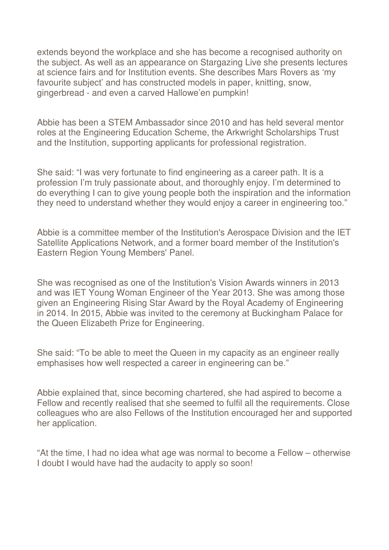extends beyond the workplace and she has become a recognised authority on the subject. As well as an appearance on Stargazing Live she presents lectures at science fairs and for Institution events. She describes Mars Rovers as 'my favourite subject' and has constructed models in paper, knitting, snow, gingerbread - and even a carved Hallowe'en pumpkin!

Abbie has been a STEM Ambassador since 2010 and has held several mentor roles at the Engineering Education Scheme, the Arkwright Scholarships Trust and the Institution, supporting applicants for professional registration.

She said: "I was very fortunate to find engineering as a career path. It is a profession I'm truly passionate about, and thoroughly enjoy. I'm determined to do everything I can to give young people both the inspiration and the information they need to understand whether they would enjoy a career in engineering too."

Abbie is a committee member of the Institution's Aerospace Division and the IET Satellite Applications Network, and a former board member of the Institution's Eastern Region Young Members' Panel.

She was recognised as one of the Institution's Vision Awards winners in 2013 and was IET Young Woman Engineer of the Year 2013. She was among those given an Engineering Rising Star Award by the Royal Academy of Engineering in 2014. In 2015, Abbie was invited to the ceremony at Buckingham Palace for the Queen Elizabeth Prize for Engineering.

She said: "To be able to meet the Queen in my capacity as an engineer really emphasises how well respected a career in engineering can be."

Abbie explained that, since becoming chartered, she had aspired to become a Fellow and recently realised that she seemed to fulfil all the requirements. Close colleagues who are also Fellows of the Institution encouraged her and supported her application.

"At the time, I had no idea what age was normal to become a Fellow – otherwise I doubt I would have had the audacity to apply so soon!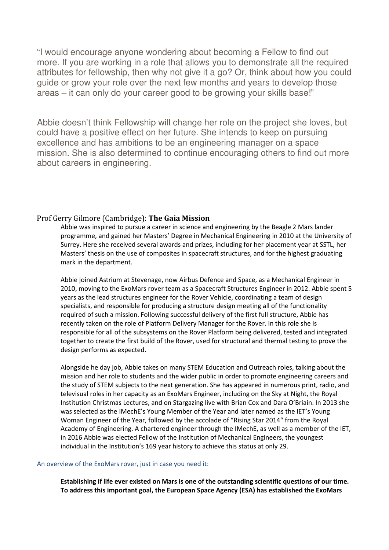"I would encourage anyone wondering about becoming a Fellow to find out more. If you are working in a role that allows you to demonstrate all the required attributes for fellowship, then why not give it a go? Or, think about how you could guide or grow your role over the next few months and years to develop those areas – it can only do your career good to be growing your skills base!"

Abbie doesn't think Fellowship will change her role on the project she loves, but could have a positive effect on her future. She intends to keep on pursuing excellence and has ambitions to be an engineering manager on a space mission. She is also determined to continue encouraging others to find out more about careers in engineering.

#### Prof Gerry Gilmore (Cambridge): The Gaia Mission

Abbie was inspired to pursue a career in science and engineering by the Beagle 2 Mars lander programme, and gained her Masters' Degree in Mechanical Engineering in 2010 at the University of Surrey. Here she received several awards and prizes, including for her placement year at SSTL, her Masters' thesis on the use of composites in spacecraft structures, and for the highest graduating mark in the department.

Abbie joined Astrium at Stevenage, now Airbus Defence and Space, as a Mechanical Engineer in 2010, moving to the ExoMars rover team as a Spacecraft Structures Engineer in 2012. Abbie spent 5 years as the lead structures engineer for the Rover Vehicle, coordinating a team of design specialists, and responsible for producing a structure design meeting all of the functionality required of such a mission. Following successful delivery of the first full structure, Abbie has recently taken on the role of Platform Delivery Manager for the Rover. In this role she is responsible for all of the subsystems on the Rover Platform being delivered, tested and integrated together to create the first build of the Rover, used for structural and thermal testing to prove the design performs as expected.

Alongside he day job, Abbie takes on many STEM Education and Outreach roles, talking about the mission and her role to students and the wider public in order to promote engineering careers and the study of STEM subjects to the next generation. She has appeared in numerous print, radio, and televisual roles in her capacity as an ExoMars Engineer, including on the Sky at Night, the Royal Institution Christmas Lectures, and on Stargazing live with Brian Cox and Dara O'Briain. In 2013 she was selected as the IMechE's Young Member of the Year and later named as the IET's Young Woman Engineer of the Year, followed by the accolade of "Rising Star 2014" from the Royal Academy of Engineering. A chartered engineer through the IMechE, as well as a member of the IET, in 2016 Abbie was elected Fellow of the Institution of Mechanical Engineers, the youngest individual in the Institution's 169 year history to achieve this status at only 29.

#### An overview of the ExoMars rover, just in case you need it:

Establishing if life ever existed on Mars is one of the outstanding scientific questions of our time. To address this important goal, the European Space Agency (ESA) has established the ExoMars